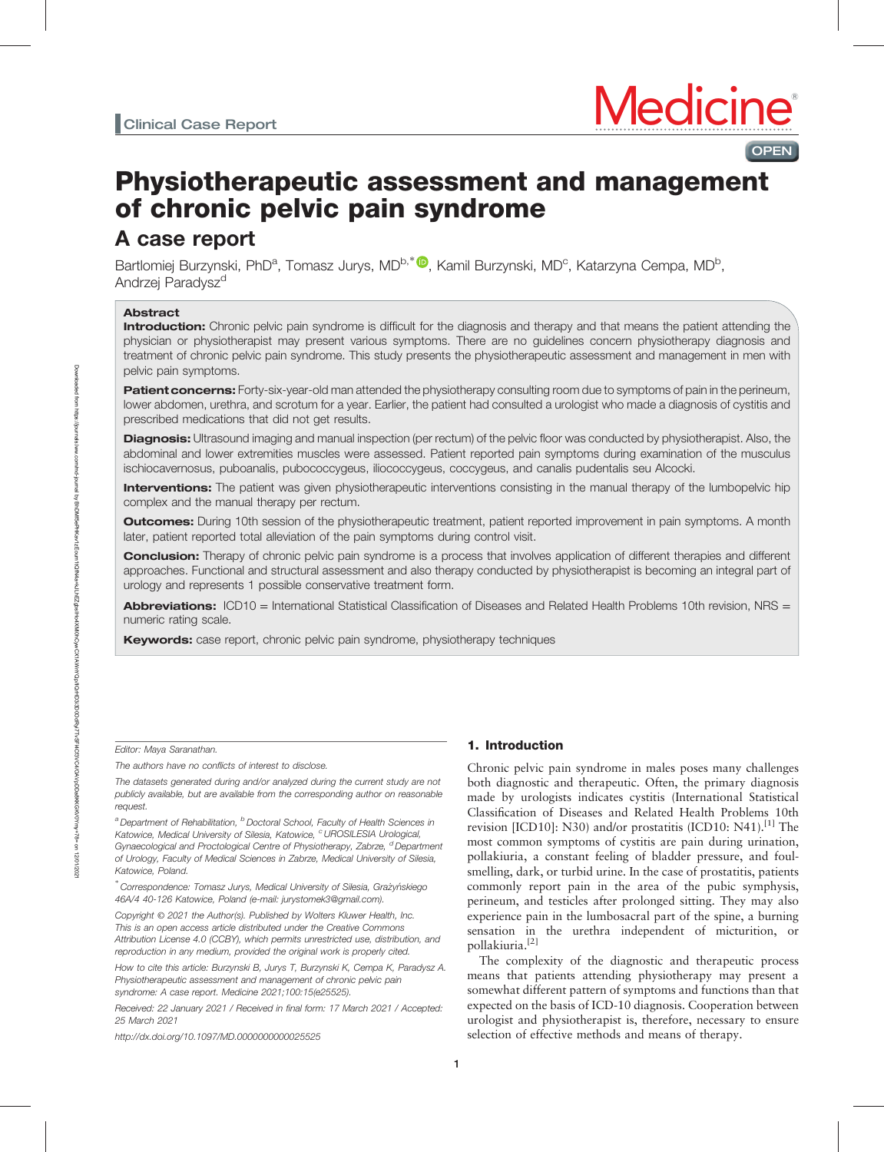# Physiotherapeutic assessment and management of chronic pelvic pain syndrome

# A case report

Bartlomiej Burzynski, PhD<sup>a</sup>, Tomasz Jurys, MD<sup>b,\*</sup>®, Kamil Burzynski, MD<sup>c</sup>, Katarzyna Cempa, MD<sup>b</sup>, Andrzej Paradysz<sup>d</sup>

# Abstract

Introduction: Chronic pelvic pain syndrome is difficult for the diagnosis and therapy and that means the patient attending the physician or physiotherapist may present various symptoms. There are no guidelines concern physiotherapy diagnosis and treatment of chronic pelvic pain syndrome. This study presents the physiotherapeutic assessment and management in men with pelvic pain symptoms.

Patient concerns: Forty-six-year-old man attended the physiotherapy consulting room due to symptoms of pain in the perineum, lower abdomen, urethra, and scrotum for a year. Earlier, the patient had consulted a urologist who made a diagnosis of cystitis and prescribed medications that did not get results.

Diagnosis: Ultrasound imaging and manual inspection (per rectum) of the pelvic floor was conducted by physiotherapist. Also, the abdominal and lower extremities muscles were assessed. Patient reported pain symptoms during examination of the musculus ischiocavernosus, puboanalis, pubococcygeus, iliococcygeus, coccygeus, and canalis pudentalis seu Alcocki.

Interventions: The patient was given physiotherapeutic interventions consisting in the manual therapy of the lumbopelvic hip complex and the manual therapy per rectum.

**Outcomes:** During 10th session of the physiotherapeutic treatment, patient reported improvement in pain symptoms. A month later, patient reported total alleviation of the pain symptoms during control visit.

**Conclusion:** Therapy of chronic pelvic pain syndrome is a process that involves application of different therapies and different approaches. Functional and structural assessment and also therapy conducted by physiotherapist is becoming an integral part of urology and represents 1 possible conservative treatment form.

Abbreviations: ICD10 = International Statistical Classification of Diseases and Related Health Problems 10th revision, NRS = numeric rating scale.

Keywords: case report, chronic pelvic pain syndrome, physiotherapy techniques

### Editor: Maya Saranathan.

The authors have no conflicts of interest to disclose.

The datasets generated during and/or analyzed during the current study are not publicly available, but are available from the corresponding author on reasonable request.

<sup>a</sup> Department of Rehabilitation, <sup>b</sup> Doctoral School, Faculty of Health Sciences in Katowice, Medical University of Silesia, Katowice, <sup>c</sup>UROSILESIA Urological, Gynaecological and Proctological Centre of Physiotherapy, Zabrze, <sup>d</sup>Department of Urology, Faculty of Medical Sciences in Zabrze, Medical University of Silesia, Katowice, Poland.

\*<br>Correspondence: Tomasz Jurys, Medical University of Silesia, Grażyńskiego 46A/4 40-126 Katowice, Poland (e-mail: [jurystomek3@gmail.com\)](mailto:jurystomek3@gmail.com).

Copyright © 2021 the Author(s). Published by Wolters Kluwer Health, Inc. This is an open access article distributed under the [Creative Commons](http://creativecommons.org/licenses/by/4.0) [Attribution License 4.0](http://creativecommons.org/licenses/by/4.0) (CCBY), which permits unrestricted use, distribution, and reproduction in any medium, provided the original work is properly cited.

How to cite this article: Burzynski B, Jurys T, Burzynski K, Cempa K, Paradysz A. Physiotherapeutic assessment and management of chronic pelvic pain syndrome: A case report. Medicine 2021;100:15(e25525).

Received: 22 January 2021 / Received in final form: 17 March 2021 / Accepted: 25 March 2021

<http://dx.doi.org/10.1097/MD.0000000000025525>

# 1. Introduction

Chronic pelvic pain syndrome in males poses many challenges both diagnostic and therapeutic. Often, the primary diagnosis made by urologists indicates cystitis (International Statistical Classification of Diseases and Related Health Problems 10th revision [ICD10]: N30) and/or prostatitis (ICD10: N41).<sup>[1]</sup> The most common symptoms of cystitis are pain during urination, pollakiuria, a constant feeling of bladder pressure, and foulsmelling, dark, or turbid urine. In the case of prostatitis, patients commonly report pain in the area of the pubic symphysis, perineum, and testicles after prolonged sitting. They may also experience pain in the lumbosacral part of the spine, a burning sensation in the urethra independent of micturition, or pollakiuria.[2]

**OPEN** 

The complexity of the diagnostic and therapeutic process means that patients attending physiotherapy may present a somewhat different pattern of symptoms and functions than that expected on the basis of ICD-10 diagnosis. Cooperation between urologist and physiotherapist is, therefore, necessary to ensure selection of effective methods and means of therapy.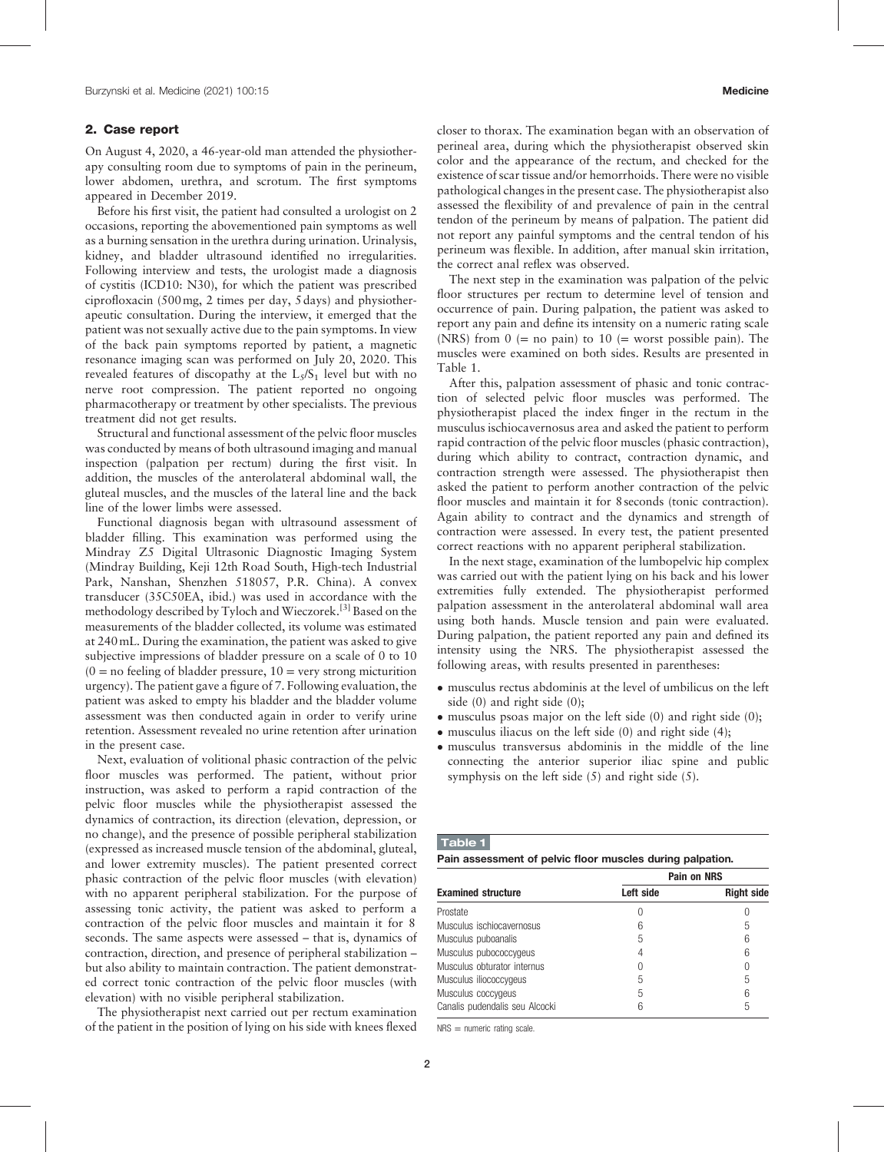# 2. Case report

On August 4, 2020, a 46-year-old man attended the physiotherapy consulting room due to symptoms of pain in the perineum, lower abdomen, urethra, and scrotum. The first symptoms appeared in December 2019.

Before his first visit, the patient had consulted a urologist on 2 occasions, reporting the abovementioned pain symptoms as well as a burning sensation in the urethra during urination. Urinalysis, kidney, and bladder ultrasound identified no irregularities. Following interview and tests, the urologist made a diagnosis of cystitis (ICD10: N30), for which the patient was prescribed ciprofloxacin (500mg, 2 times per day, 5 days) and physiotherapeutic consultation. During the interview, it emerged that the patient was not sexually active due to the pain symptoms. In view of the back pain symptoms reported by patient, a magnetic resonance imaging scan was performed on July 20, 2020. This revealed features of discopathy at the  $L_5/S_1$  level but with no nerve root compression. The patient reported no ongoing pharmacotherapy or treatment by other specialists. The previous treatment did not get results.

Structural and functional assessment of the pelvic floor muscles was conducted by means of both ultrasound imaging and manual inspection (palpation per rectum) during the first visit. In addition, the muscles of the anterolateral abdominal wall, the gluteal muscles, and the muscles of the lateral line and the back line of the lower limbs were assessed.

Functional diagnosis began with ultrasound assessment of bladder filling. This examination was performed using the Mindray Z5 Digital Ultrasonic Diagnostic Imaging System (Mindray Building, Keji 12th Road South, High-tech Industrial Park, Nanshan, Shenzhen 518057, P.R. China). A convex transducer (35C50EA, ibid.) was used in accordance with the methodology described by Tyloch and Wieczorek.<sup>[3]</sup> Based on the measurements of the bladder collected, its volume was estimated at 240mL. During the examination, the patient was asked to give subjective impressions of bladder pressure on a scale of 0 to 10  $(0 = no$  feeling of bladder pressure,  $10 =$  very strong micturition urgency). The patient gave a figure of 7. Following evaluation, the patient was asked to empty his bladder and the bladder volume assessment was then conducted again in order to verify urine retention. Assessment revealed no urine retention after urination in the present case.

Next, evaluation of volitional phasic contraction of the pelvic floor muscles was performed. The patient, without prior instruction, was asked to perform a rapid contraction of the pelvic floor muscles while the physiotherapist assessed the dynamics of contraction, its direction (elevation, depression, or no change), and the presence of possible peripheral stabilization (expressed as increased muscle tension of the abdominal, gluteal, and lower extremity muscles). The patient presented correct phasic contraction of the pelvic floor muscles (with elevation) with no apparent peripheral stabilization. For the purpose of assessing tonic activity, the patient was asked to perform a contraction of the pelvic floor muscles and maintain it for 8 seconds. The same aspects were assessed – that is, dynamics of contraction, direction, and presence of peripheral stabilization – but also ability to maintain contraction. The patient demonstrated correct tonic contraction of the pelvic floor muscles (with elevation) with no visible peripheral stabilization.

The physiotherapist next carried out per rectum examination of the patient in the position of lying on his side with knees flexed closer to thorax. The examination began with an observation of perineal area, during which the physiotherapist observed skin color and the appearance of the rectum, and checked for the existence of scar tissue and/or hemorrhoids. There were no visible pathological changes in the present case. The physiotherapist also assessed the flexibility of and prevalence of pain in the central tendon of the perineum by means of palpation. The patient did not report any painful symptoms and the central tendon of his perineum was flexible. In addition, after manual skin irritation, the correct anal reflex was observed.

The next step in the examination was palpation of the pelvic floor structures per rectum to determine level of tension and occurrence of pain. During palpation, the patient was asked to report any pain and define its intensity on a numeric rating scale (NRS) from  $0 (= no pain)$  to  $10 (= worst possible pain)$ . The muscles were examined on both sides. Results are presented in Table 1.

After this, palpation assessment of phasic and tonic contraction of selected pelvic floor muscles was performed. The physiotherapist placed the index finger in the rectum in the musculus ischiocavernosus area and asked the patient to perform rapid contraction of the pelvic floor muscles (phasic contraction), during which ability to contract, contraction dynamic, and contraction strength were assessed. The physiotherapist then asked the patient to perform another contraction of the pelvic floor muscles and maintain it for 8 seconds (tonic contraction). Again ability to contract and the dynamics and strength of contraction were assessed. In every test, the patient presented correct reactions with no apparent peripheral stabilization.

In the next stage, examination of the lumbopelvic hip complex was carried out with the patient lying on his back and his lower extremities fully extended. The physiotherapist performed palpation assessment in the anterolateral abdominal wall area using both hands. Muscle tension and pain were evaluated. During palpation, the patient reported any pain and defined its intensity using the NRS. The physiotherapist assessed the following areas, with results presented in parentheses:

- musculus rectus abdominis at the level of umbilicus on the left side (0) and right side (0);
- musculus psoas major on the left side (0) and right side (0);
- $\bullet$  musculus iliacus on the left side (0) and right side (4);
- musculus transversus abdominis in the middle of the line connecting the anterior superior iliac spine and public symphysis on the left side (5) and right side (5).

#### Table 1

Pain assessment of pelvic floor muscles during palpation.

|                                |           | <b>Pain on NRS</b> |
|--------------------------------|-----------|--------------------|
| <b>Examined structure</b>      | Left side | <b>Right side</b>  |
| Prostate                       |           |                    |
| Musculus ischiocavernosus      | 6         | 5                  |
| Musculus puboanalis            | 5         | 6                  |
| Musculus pubococcygeus         | 4         | 6                  |
| Musculus obturator internus    | 0         | $\cup$             |
| Musculus iliococcygeus         | 5         | 5                  |
| Musculus coccygeus             | 5         | 6                  |
| Canalis pudendalis seu Alcocki | ჩ         | 5                  |

NRS = numeric rating scale.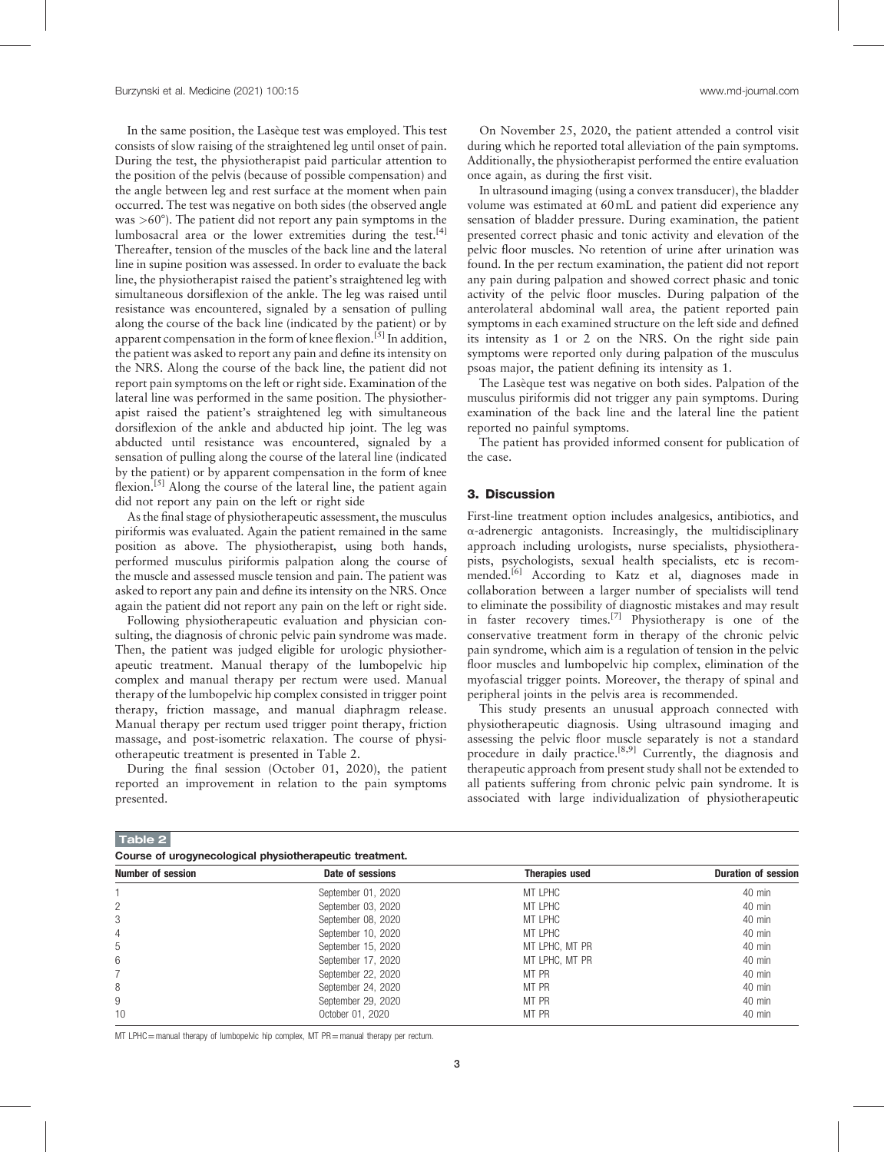In the same position, the Lasèque test was employed. This test consists of slow raising of the straightened leg until onset of pain. During the test, the physiotherapist paid particular attention to the position of the pelvis (because of possible compensation) and the angle between leg and rest surface at the moment when pain occurred. The test was negative on both sides (the observed angle was  $>60^{\circ}$ ). The patient did not report any pain symptoms in the lumbosacral area or the lower extremities during the test.<sup>[4]</sup> Thereafter, tension of the muscles of the back line and the lateral line in supine position was assessed. In order to evaluate the back line, the physiotherapist raised the patient's straightened leg with simultaneous dorsiflexion of the ankle. The leg was raised until resistance was encountered, signaled by a sensation of pulling along the course of the back line (indicated by the patient) or by apparent compensation in the form of knee flexion.<sup>[5]</sup> In addition, the patient was asked to report any pain and define its intensity on the NRS. Along the course of the back line, the patient did not report pain symptoms on the left or right side. Examination of the lateral line was performed in the same position. The physiotherapist raised the patient's straightened leg with simultaneous dorsiflexion of the ankle and abducted hip joint. The leg was abducted until resistance was encountered, signaled by a sensation of pulling along the course of the lateral line (indicated by the patient) or by apparent compensation in the form of knee flexion.<sup>[5]</sup> Along the course of the lateral line, the patient again did not report any pain on the left or right side

As the final stage of physiotherapeutic assessment, the musculus piriformis was evaluated. Again the patient remained in the same position as above. The physiotherapist, using both hands, performed musculus piriformis palpation along the course of the muscle and assessed muscle tension and pain. The patient was asked to report any pain and define its intensity on the NRS. Once again the patient did not report any pain on the left or right side.

Following physiotherapeutic evaluation and physician consulting, the diagnosis of chronic pelvic pain syndrome was made. Then, the patient was judged eligible for urologic physiotherapeutic treatment. Manual therapy of the lumbopelvic hip complex and manual therapy per rectum were used. Manual therapy of the lumbopelvic hip complex consisted in trigger point therapy, friction massage, and manual diaphragm release. Manual therapy per rectum used trigger point therapy, friction massage, and post-isometric relaxation. The course of physiotherapeutic treatment is presented in Table 2.

During the final session (October 01, 2020), the patient reported an improvement in relation to the pain symptoms presented.

On November 25, 2020, the patient attended a control visit during which he reported total alleviation of the pain symptoms. Additionally, the physiotherapist performed the entire evaluation once again, as during the first visit.

In ultrasound imaging (using a convex transducer), the bladder volume was estimated at 60mL and patient did experience any sensation of bladder pressure. During examination, the patient presented correct phasic and tonic activity and elevation of the pelvic floor muscles. No retention of urine after urination was found. In the per rectum examination, the patient did not report any pain during palpation and showed correct phasic and tonic activity of the pelvic floor muscles. During palpation of the anterolateral abdominal wall area, the patient reported pain symptoms in each examined structure on the left side and defined its intensity as 1 or 2 on the NRS. On the right side pain symptoms were reported only during palpation of the musculus psoas major, the patient defining its intensity as 1.

The Lasèque test was negative on both sides. Palpation of the musculus piriformis did not trigger any pain symptoms. During examination of the back line and the lateral line the patient reported no painful symptoms.

The patient has provided informed consent for publication of the case.

# 3. Discussion

First-line treatment option includes analgesics, antibiotics, and  $\alpha$ -adrenergic antagonists. Increasingly, the multidisciplinary approach including urologists, nurse specialists, physiotherapists, psychologists, sexual health specialists, etc is recommended.<sup>[6]</sup> According to Katz et al, diagnoses made in collaboration between a larger number of specialists will tend to eliminate the possibility of diagnostic mistakes and may result in faster recovery times.[7] Physiotherapy is one of the conservative treatment form in therapy of the chronic pelvic pain syndrome, which aim is a regulation of tension in the pelvic floor muscles and lumbopelvic hip complex, elimination of the myofascial trigger points. Moreover, the therapy of spinal and peripheral joints in the pelvis area is recommended.

This study presents an unusual approach connected with physiotherapeutic diagnosis. Using ultrasound imaging and assessing the pelvic floor muscle separately is not a standard procedure in daily practice.<sup>[8,9]</sup> Currently, the diagnosis and therapeutic approach from present study shall not be extended to all patients suffering from chronic pelvic pain syndrome. It is associated with large individualization of physiotherapeutic

| Table 2 |                                                         |  |  |
|---------|---------------------------------------------------------|--|--|
|         | Course of urogynecological physiotherapeutic treatment. |  |  |

| <u>aani aa ar maddisaaradigismi piidoisminimbaania namniisiin</u> |                       |                            |  |  |  |
|-------------------------------------------------------------------|-----------------------|----------------------------|--|--|--|
| Date of sessions                                                  | <b>Therapies used</b> | <b>Duration of session</b> |  |  |  |
| September 01, 2020                                                | MT LPHC               | $40$ min                   |  |  |  |
| September 03, 2020                                                | MT LPHC               | $40$ min                   |  |  |  |
| September 08, 2020                                                | MT LPHC               | $40$ min                   |  |  |  |
| September 10, 2020                                                | MT LPHC               | $40$ min                   |  |  |  |
| September 15, 2020                                                | MT LPHC, MT PR        | $40$ min                   |  |  |  |
| September 17, 2020                                                | MT LPHC. MT PR        | $40$ min                   |  |  |  |
| September 22, 2020                                                | MT PR                 | $40$ min                   |  |  |  |
| September 24, 2020                                                | MT PR                 | $40$ min                   |  |  |  |
| September 29, 2020                                                | MT PR                 | $40$ min                   |  |  |  |
| October 01, 2020                                                  | MT PR                 | $40$ min                   |  |  |  |
|                                                                   |                       |                            |  |  |  |

MT LPHC=manual therapy of lumbopelvic hip complex, MT PR=manual therapy per rectum.